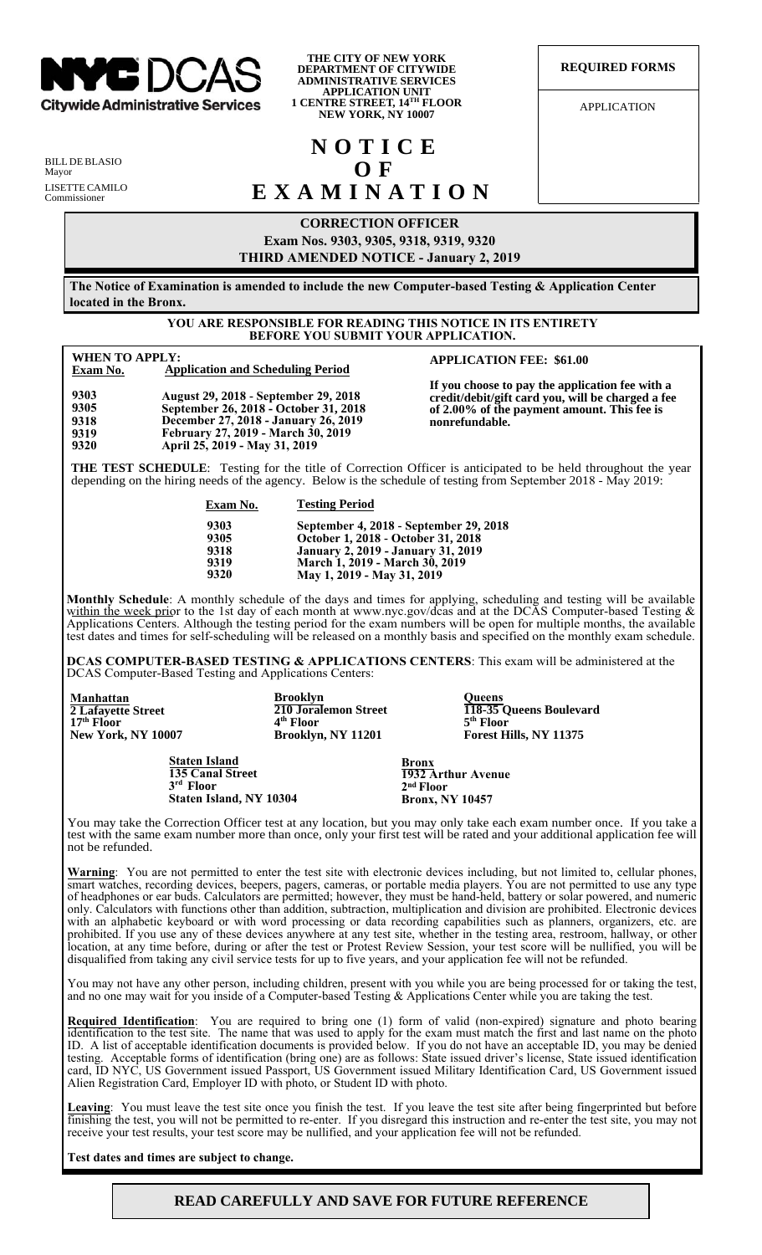

**THE CITY OF NEW YORK DEPARTMENT OF CITYWIDE ADMINISTRATIVE SERVICES APPLICATION UNIT 1 CENTRE STREET, 14TH FLOOR NEW YORK, NY 10007**

**REQUIRED FORMS**

APPLICATION

BILL DE BLASIO Mayor LISETTE CAMILO Commissioner

> **9303 9305**

> **9318 9319 9320**

# **NOTICE O F EXAMINATION**

## **CORRECTION OFFICER**

**Exam Nos. 9303, 9305, 9318, 9319, 9320 FOURTH**

**AMENDED NOTICE - February 20, 2019**

**The Notice of Examination is amended to include the new Computer-based Testing & Applications Center located in the Bronx.**

#### **YOU ARE RESPONSIBLE FOR READING THIS NOTICE IN ITS ENTIRETY BEFORE YOU SUBMIT YOUR APPLICATION.**

#### **WHEN TO APPLY: Exam No. Application and Scheduling Period**

**APPLICATION FEE: \$61.00**

**August 29, 2018 - September 29, 2018 September 26, 2018 - October 31, 2018 December 27, 2018 - January 26, 2019 February 27, 2019 - March 30, 2019 April 25, 2019 - May 31, 2019**

**If you choose to pay the application fee with a credit/debit/gift card you, will be charged a fee of 2.00% of the payment amount. This fee is nonrefundable.**

**THE TEST SCHEDULE**: Testing for the title of Correction Officer is anticipated to be held throughout the year depending on the hiring needs of the agency. Below is the schedule of testing from September 2018 - May 2019:

> **9303 9305 9318**

**Exam No. Testing Period**

| 9303 | September 4, 2018 - September 29, 2018    |
|------|-------------------------------------------|
|      |                                           |
| 9305 | October 1, 2018 - October 31, 2018        |
| 9318 | <b>January 2, 2019 - January 31, 2019</b> |
| 9319 | March 1, 2019 - March 30, 2019            |
| 9320 | May 1, 2019 - May 31, 2019                |

**Monthly Schedule**: A monthly schedule of the days and times for applying, scheduling and testing will be available within the week prior to the 1st day of each month at www.nyc.gov/dcas and at the DCAS Computer-based Testing & Applications Centers. Although the testing period for the exam numbers will be open for multiple months, the available test dates and times for self-scheduling will be released on a monthly basis and specified on the monthly exam schedule.

**DCAS COMPUTER-BASED TESTING & APPLICATIONS CENTERS**: This exam will be administered at the DCAS Computer-Based Testing and Applications Centers:

| Manhattan                                                                          | <b>Brooklyn</b>       | Oueens                                                                      |
|------------------------------------------------------------------------------------|-----------------------|-----------------------------------------------------------------------------|
| 2 Lafayette Street                                                                 | 210 Joralemon Street  | 118-35 Queens Boulevard                                                     |
| $17th$ Floor                                                                       | 4 <sup>th</sup> Floor | $5th$ Floor                                                                 |
| <b>New York, NY 10007</b>                                                          | Brooklyn, NY 11201    | Forest Hills, NY 11375                                                      |
| <b>Staten Island</b><br>135 Canal Street<br>$3rd$ Floor<br>Staten Island, NY 10304 |                       | <b>Bronx</b><br>1932 Arthur Avenue<br>$2nd$ Floor<br><b>Bronx, NY 10457</b> |

You may take the Correction Officer test at any location, but you may only take each exam number once. If you take a test with the same exam number more than once, only your first test will be rated and your additional application fee will not be refunded.

**Warning**: You are not permitted to enter the test site with electronic devices including, but not limited to, cellular phones, smart watches, recording devices, beepers, pagers, cameras, or portable media players. You are not permitted to use any type of headphones or ear buds. Calculators are permitted; however, they must be hand-held, battery or solar powered, and numeric only. Calculators with functions other than addition, subtraction, multiplication and division are prohibited. Electronic devices with an alphabetic keyboard or with word processing or data recording capabilities such as planners, organizers, etc. are prohibited. If you use any of these devices anywhere at any test site, whether in the testing area, restroom, hallway, or other location, at any time before, during or after the test or Protest Review Session, your test score will be nullified, you will be disqualified from taking any civil service tests for up to five years, and your application fee will not be refunded.

You may not have any other person, including children, present with you while you are being processed for or taking the test, and no one may wait for you inside of a Computer-based Testing & Applications Center while you are taking the test.

**Required Identification**: You are required to bring one (1) form of valid (non-expired) signature and photo bearing identification to the test site. The name that was used to apply for the exam must match the first and last name on the photo ID. A list of acceptable identification documents is provided below. If you do not have an acceptable ID, you may be denied testing. Acceptable forms of identification (bring one) are as follows: State issued driver's license, State issued identification card, ID NYC, US Government issued Passport, US Government issued Military Identification Card, US Government issued Alien Registration Card, Employer ID with photo, or Student ID with photo.

**Leaving**: You must leave the test site once you finish the test. If you leave the test site after being fingerprinted but before finishing the test, you will not be permitted to re-enter. If you disregard this instruction and re-enter the test site, you may not receive your test results, your test score may be nullified, and your application fee will not be refunded.

**Test dates and times are subject to change.**

# **READ CAREFULLY AND SAVE FOR FUTURE REFERENCE**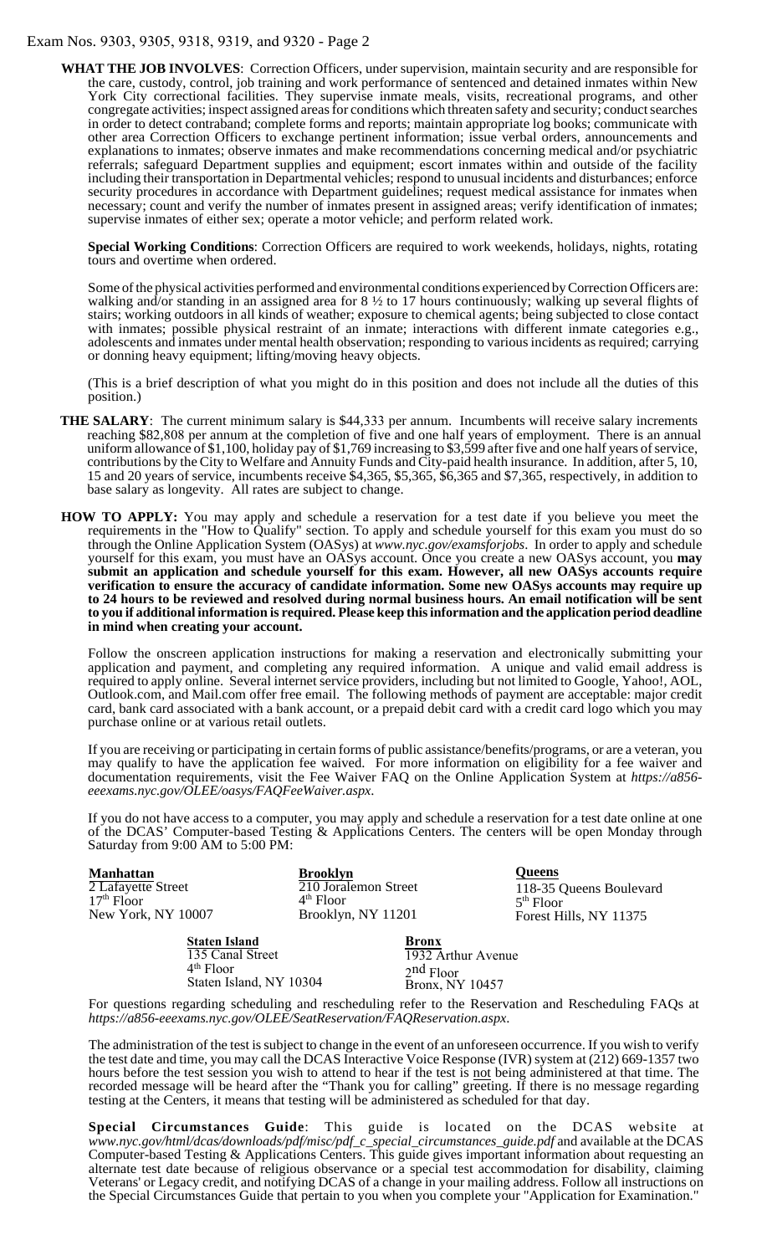# Exam Nos. 9303, 9305, 9318, 9319, and 9320 - Page 2

**WHAT THE JOB INVOLVES**: Correction Officers, under supervision, maintain security and are responsible for the care, custody, control, job training and work performance of sentenced and detained inmates within New York City correctional facilities. They supervise inmate meals, visits, recreational programs, and other congregate activities; inspect assigned areas for conditions which threaten safety and security; conduct searches in order to detect contraband; complete forms and reports; maintain appropriate log books; communicate with other area Correction Officers to exchange pertinent information; issue verbal orders, announcements and explanations to inmates; observe inmates and make recommendations concerning medical and/or psychiatric referrals; safeguard Department supplies and equipment; escort inmates within and outside of the facility including their transportation in Departmental vehicles; respond to unusual incidents and disturbances; enforce security procedures in accordance with Department guidelines; request medical assistance for inmates when necessary; count and verify the number of inmates present in assigned areas; verify identification of inmates; supervise inmates of either sex; operate a motor vehicle; and perform related work.

**Special Working Conditions**: Correction Officers are required to work weekends, holidays, nights, rotating tours and overtime when ordered.

Some of the physical activities performed and environmental conditions experienced by Correction Officers are: walking and/or standing in an assigned area for 8  $\frac{1}{2}$  to 17 hours continuously; walking up several flights of stairs; working outdoors in all kinds of weather; exposure to chemical agents; being subjected to close contact with inmates; possible physical restraint of an inmate; interactions with different inmate categories e.g., adolescents and inmates under mental health observation; responding to various incidents as required; carrying or donning heavy equipment; lifting/moving heavy objects.

(This is a brief description of what you might do in this position and does not include all the duties of this position.)

**THE SALARY**: The current minimum salary is \$44,333 per annum. Incumbents will receive salary increments reaching \$82,808 per annum at the completion of five and one half years of employment. There is an annual uniform allowance of \$1,100, holiday pay of \$1,769 increasing to \$3,599 after five and one half years of service, contributions by the City to Welfare and Annuity Funds and City-paid health insurance. In addition, after 5, 10, 15 and 20 years of service, incumbents receive \$4,365, \$5,365, \$6,365 and \$7,365, respectively, in addition to base salary as longevity. All rates are subject to change.

# **HOW TO APPLY:**

If you believe you meet the requirements in the "How to Qualify" section, apply using the Online Application System (OASys) at www.nyc.gov/examsforjobs. Follow the onscreen application instructions for electronically submitting your application and payment and completing any required information. A unique and valid email address is required to apply online. Several internet service providers, including but not limited to Google, Yahoo!, AOL, Outlook.com, and Mail.com offer free email addresses. **All new OASys accounts require verification before a candidate can apply to ensure the accuracy of candidate information. Verification is instantaneous for most accounts and you will receive a confirmation email with instruction to activate your account. For any account creation issues, you will receive onscreen prompts to contact DCAS. This review may require up to two (2) business days to be reviewed and resolved. Please keep this information and the application period deadline in mind when creating your account.** 

The following methods of payment are acceptable: major credit card, bank card associated with a bank account, or a prepaid debit card with a credit card logo which you may purchase online or at various retail outlets. If you are receiving or participating in certain forms of public assistance/benefits/programs, or are a veteran, you may qualify to have the application fee waived. For more information on eligibility for a fee waiver and documentation requirements visit the Fee Waiver FAQ on the Online Application System at:

#### *https://a856-exams.nyc.gov/OASysWeb/Home/FAQ*

Staten Island, NY 10304

You may come to the DCAS Computer-based Testing & Applications Centers to apply for this examination online and submit a money order payable to DCAS (Exams) or to submit documentation for a fee waiver. The centers will be open Monday through Saturday from 9:00 AM to 5:00 PM:

| <b>Manhattan</b>                      | <b>Brooklyn</b>      | <b>Queens</b>               |
|---------------------------------------|----------------------|-----------------------------|
| 2 Lafayette Street                    | 210 Joralemon Street | 118-35 Queens Boulevard     |
| $17th$ Floor                          | $4th$ Floor          | $5th$ Floor                 |
| New York, NY 10007                    | Brooklyn, NY 11201   | Forest Hills, NY 11375      |
| <b>Staten Island</b>                  | <b>Bronx</b>         |                             |
| 135 Canal Street                      |                      | 1932 Arthur Avenue          |
| $4th$ Floor                           | $2nd$ Floor          |                             |
| $0.1$ $1.1$ $1.3$ $N$ $I$ $1.020$ $I$ |                      | . . <del>.</del> . <i>.</i> |

Bronx, NY 10457

For questions regarding scheduling and rescheduling refer to the Reservation and Rescheduling FAQs at *https://a856-eeexams.nyc.gov/OLEE/SeatReservation/FAQReservation.aspx*.

The administration of the test is subject to change in the event of an unforeseen occurrence. If you wish to verify the test date and time, you may call the DCAS Interactive Voice Response (IVR) system at (212) 669-1357 two hours before the test session you wish to attend to hear if the test is not being administered at that time. The recorded message will be heard after the "Thank you for calling" greeting. If there is no message regarding testing at the Centers, it means that testing will be administered as scheduled for that day.

**Special Circumstances Guide**: This guide is located on the DCAS website at *www.nyc.gov/html/dcas/downloads/pdf/misc/pdf\_c\_special\_circumstances\_guide.pdf* and available at the DCAS Computer-based Testing & Applications Centers. This guide gives important information about requesting an alternate test date because of religious observance or a special test accommodation for disability, claiming Veterans' or Legacy credit, and notifying DCAS of a change in your mailing address. Follow all instructions on the Special Circumstances Guide that pertain to you when you complete your "Application for Examination."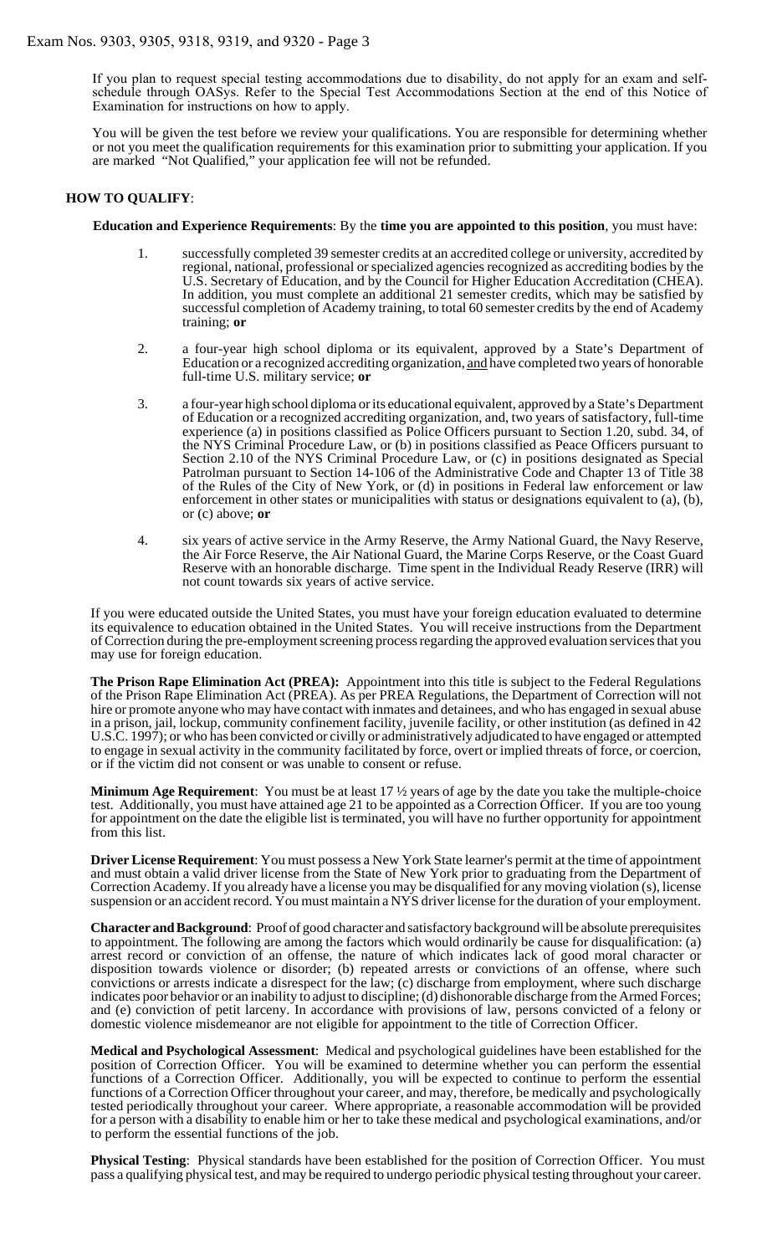If you plan to request special testing accommodations due to disability, do not apply for an exam and selfschedule through OASys. Refer to the Special Test Accommodations Section at the end of this Notice of Examination for instructions on how to apply.

You will be given the test before we review your qualifications. You are responsible for determining whether or not you meet the qualification requirements for this examination prior to submitting your application. If you are marked "Not Qualified," your application fee will not be refunded.

#### **HOW TO QUALIFY**:

#### **Education and Experience Requirements**: By the **time you are appointed to this position**, you must have:

- 1. successfully completed 39 semester credits at an accredited college or university, accredited by regional, national, professional or specialized agencies recognized as accrediting bodies by the U.S. Secretary of Education, and by the Council for Higher Education Accreditation (CHEA). In addition, you must complete an additional 21 semester credits, which may be satisfied by successful completion of Academy training, to total 60 semester credits by the end of Academy training; **or**
- 2. a four-year high school diploma or its equivalent, approved by a State's Department of Education or a recognized accrediting organization, and have completed two years of honorable full-time U.S. military service; **or**
- 3. a four-year high school diploma or its educational equivalent, approved by a State's Department of Education or a recognized accrediting organization, and, two years of satisfactory, full-time experience (a) in positions classified as Police Officers pursuant to Section 1.20, subd. 34, of the NYS Criminal Procedure Law, or (b) in positions classified as Peace Officers pursuant to Section 2.10 of the NYS Criminal Procedure Law, or (c) in positions designated as Special Patrolman pursuant to Section 14-106 of the Administrative Code and Chapter 13 of Title 38 of the Rules of the City of New York, or (d) in positions in Federal law enforcement or law enforcement in other states or municipalities with status or designations equivalent to (a), (b), or (c) above; **or**
- 4. six years of active service in the Army Reserve, the Army National Guard, the Navy Reserve, the Air Force Reserve, the Air National Guard, the Marine Corps Reserve, or the Coast Guard Reserve with an honorable discharge. Time spent in the Individual Ready Reserve (IRR) will not count towards six years of active service.

If you were educated outside the United States, you must have your foreign education evaluated to determine its equivalence to education obtained in the United States. You will receive instructions from the Department of Correction during the pre-employment screening process regarding the approved evaluation services that you may use for foreign education.

**The Prison Rape Elimination Act (PREA):** Appointment into this title is subject to the Federal Regulations of the Prison Rape Elimination Act (PREA). As per PREA Regulations, the Department of Correction will not hire or promote anyone who may have contact with inmates and detainees, and who has engaged in sexual abuse in a prison, jail, lockup, community confinement facility, juvenile facility, or other institution (as defined in 42 U.S.C. 1997); or who has been convicted or civilly or administratively adjudicated to have engaged or attempted to engage in sexual activity in the community facilitated by force, overt or implied threats of force, or coercion, or if the victim did not consent or was unable to consent or refuse.

**Minimum Age Requirement**: You must be at least 17 ½ years of age by the date you take the multiple-choice test. Additionally, you must have attained age 21 to be appointed as a Correction Officer. If you are too young for appointment on the date the eligible list is terminated, you will have no further opportunity for appointment from this list.

**Driver License Requirement**: You must possess a New York State learner's permit at the time of appointment and must obtain a valid driver license from the State of New York prior to graduating from the Department of Correction Academy. If you already have a license you may be disqualified for any moving violation (s), license suspension or an accident record. You must maintain a NYS driver license for the duration of your employment.

**Character and Background**: Proof of good character and satisfactory background will be absolute prerequisites to appointment. The following are among the factors which would ordinarily be cause for disqualification: (a) arrest record or conviction of an offense, the nature of which indicates lack of good moral character or disposition towards violence or disorder; (b) repeated arrests or convictions of an offense, where such convictions or arrests indicate a disrespect for the law; (c) discharge from employment, where such discharge indicates poor behavior or an inability to adjust to discipline; (d) dishonorable discharge from the Armed Forces; and (e) conviction of petit larceny. In accordance with provisions of law, persons convicted of a felony or domestic violence misdemeanor are not eligible for appointment to the title of Correction Officer.

**Medical and Psychological Assessment**: Medical and psychological guidelines have been established for the position of Correction Officer. You will be examined to determine whether you can perform the essential functions of a Correction Officer. Additionally, you will be expected to continue to perform the essential functions of a Correction Officer throughout your career, and may, therefore, be medically and psychologically tested periodically throughout your career. Where appropriate, a reasonable accommodation will be provided for a person with a disability to enable him or her to take these medical and psychological examinations, and/or to perform the essential functions of the job.

**Physical Testing**: Physical standards have been established for the position of Correction Officer. You must pass a qualifying physical test, and may be required to undergo periodic physical testing throughout your career.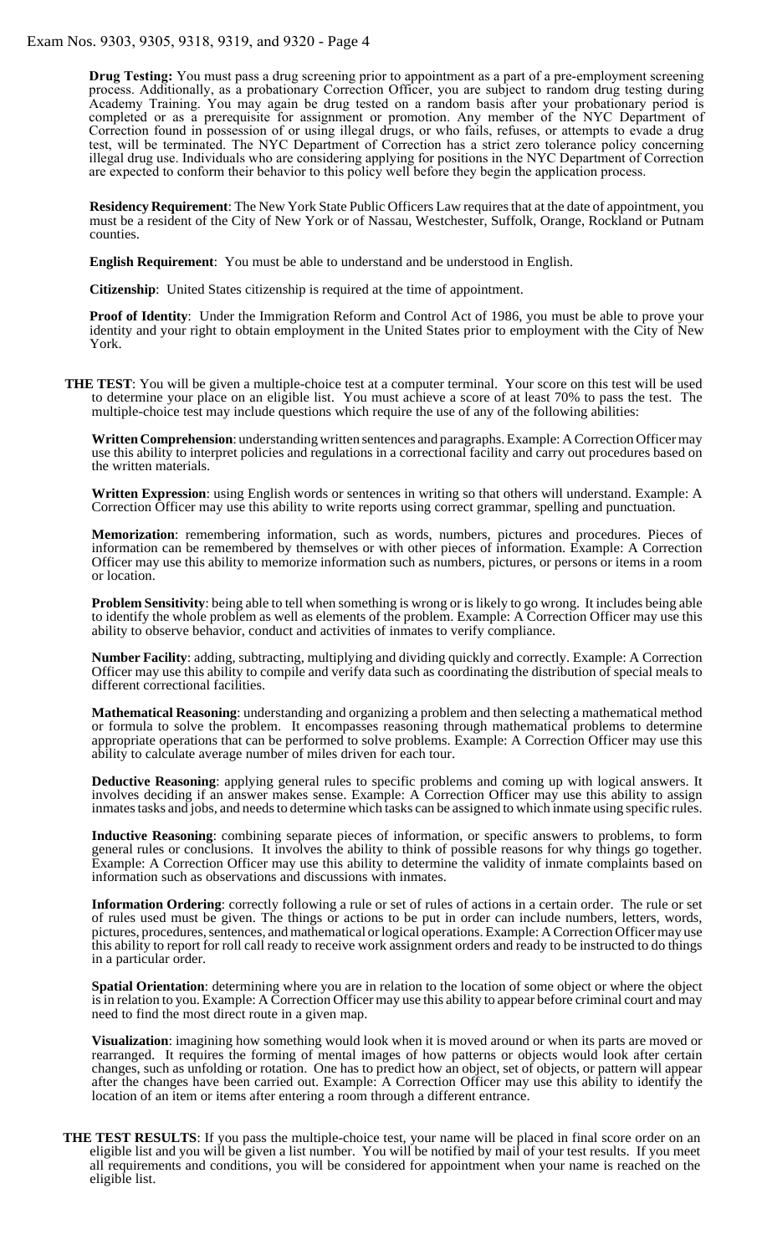**Drug Testing:** You must pass a drug screening prior to appointment as a part of a pre-employment screening process. Additionally, as a probationary Correction Officer, you are subject to random drug testing during Academy Training. You may again be drug tested on a random basis after your probationary period is completed or as a prerequisite for assignment or promotion. Any member of the NYC Department of Correction found in possession of or using illegal drugs, or who fails, refuses, or attempts to evade a drug test, will be terminated. The NYC Department of Correction has a strict zero tolerance policy concerning illegal drug use. Individuals who are considering applying for positions in the NYC Department of Correction are expected to conform their behavior to this policy well before they begin the application process.

**Residency Requirement**: The New York State Public Officers Law requires that at the date of appointment, you must be a resident of the City of New York or of Nassau, Westchester, Suffolk, Orange, Rockland or Putnam counties.

**English Requirement**: You must be able to understand and be understood in English.

**Citizenship**: United States citizenship is required at the time of appointment.

**Proof of Identity**: Under the Immigration Reform and Control Act of 1986, you must be able to prove your identity and your right to obtain employment in the United States prior to employment with the City of New York.

**THE TEST**: You will be given a multiple-choice test at a computer terminal. Your score on this test will be used to determine your place on an eligible list. You must achieve a score of at least 70% to pass the test. The multiple-choice test may include questions which require the use of any of the following abilities:

**Written Comprehension**: understanding written sentences and paragraphs.Example: A Correction Officer may use this ability to interpret policies and regulations in a correctional facility and carry out procedures based on the written materials.

**Written Expression**: using English words or sentences in writing so that others will understand. Example: A Correction Officer may use this ability to write reports using correct grammar, spelling and punctuation.

**Memorization**: remembering information, such as words, numbers, pictures and procedures. Pieces of information can be remembered by themselves or with other pieces of information. Example: A Correction Officer may use this ability to memorize information such as numbers, pictures, or persons or items in a room or location.

**Problem Sensitivity**: being able to tell when something is wrong or is likely to go wrong. It includes being able to identify the whole problem as well as elements of the problem. Example: A Correction Officer may use this ability to observe behavior, conduct and activities of inmates to verify compliance.

**Number Facility**: adding, subtracting, multiplying and dividing quickly and correctly. Example: A Correction Officer may use this ability to compile and verify data such as coordinating the distribution of special meals to different correctional facilities.

**Mathematical Reasoning**: understanding and organizing a problem and then selecting a mathematical method or formula to solve the problem. It encompasses reasoning through mathematical problems to determine appropriate operations that can be performed to solve problems. Example: A Correction Officer may use this ability to calculate average number of miles driven for each tour.

**Deductive Reasoning**: applying general rules to specific problems and coming up with logical answers. It involves deciding if an answer makes sense. Example: A Correction Officer may use this ability to assign inmates tasks and jobs, and needs to determine which tasks can be assigned to which inmate using specific rules.

**Inductive Reasoning**: combining separate pieces of information, or specific answers to problems, to form general rules or conclusions. It involves the ability to think of possible reasons for why things go together. Example: A Correction Officer may use this ability to determine the validity of inmate complaints based on information such as observations and discussions with inmates.

**Information Ordering**: correctly following a rule or set of rules of actions in a certain order. The rule or set of rules used must be given. The things or actions to be put in order can include numbers, letters, words, pictures, procedures, sentences, and mathematical or logical operations. Example: A Correction Officer may use this ability to report for roll call ready to receive work assignment orders and ready to be instructed to do things in a particular order.

**Spatial Orientation**: determining where you are in relation to the location of some object or where the object is in relation to you. Example: A Correction Officer may use this ability to appear before criminal court and may need to find the most direct route in a given map.

**Visualization**: imagining how something would look when it is moved around or when its parts are moved or rearranged. It requires the forming of mental images of how patterns or objects would look after certain changes, such as unfolding or rotation. One has to predict how an object, set of objects, or pattern will appear after the changes have been carried out. Example: A Correction Officer may use this ability to identify the location of an item or items after entering a room through a different entrance.

**THE TEST RESULTS**: If you pass the multiple-choice test, your name will be placed in final score order on an eligible list and you will be given a list number. You will be notified by mail of your test results. If you meet all requirements and conditions, you will be considered for appointment when your name is reached on the eligible list.